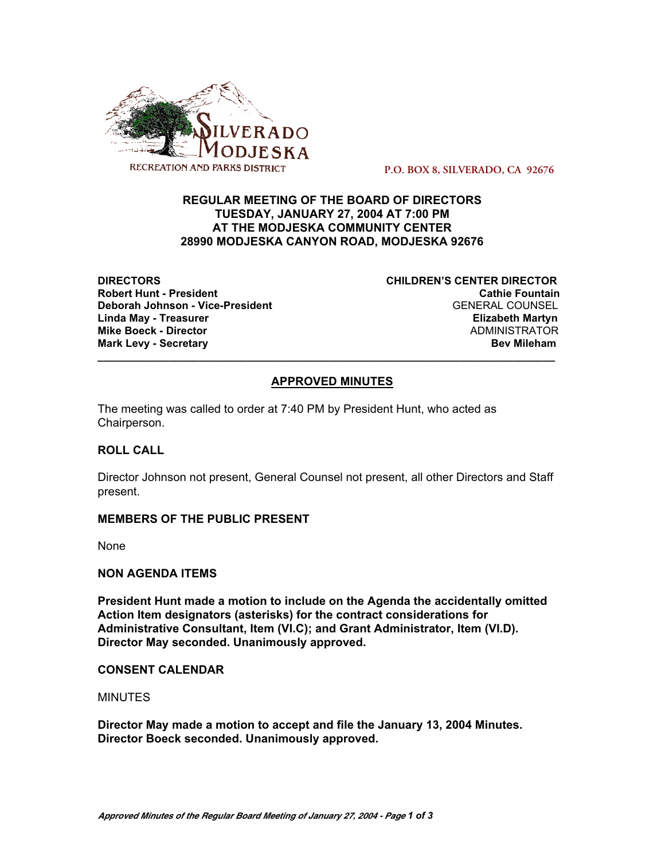

 **P.O. BOX 8, SILVERADO, CA 92676**

# **REGULAR MEETING OF THE BOARD OF DIRECTORS TUESDAY, JANUARY 27, 2004 AT 7:00 PM AT THE MODJESKA COMMUNITY CENTER 28990 MODJESKA CANYON ROAD, MODJESKA 92676**

**DIRECTORS CHILDREN'S CENTER DIRECTOR Robert Hunt - President Cathie Fountain Deborah Johnson - Vice-President** GENERAL COUNSEL **Linda May - Treasurer Elizabeth Martyn Mike Boeck - Director** ADMINISTRATOR **Mark Levy - Secretary Bev Mileham**

# **APPROVED MINUTES**

**\_\_\_\_\_\_\_\_\_\_\_\_\_\_\_\_\_\_\_\_\_\_\_\_\_\_\_\_\_\_\_\_\_\_\_\_\_\_\_\_\_\_\_\_\_\_\_\_\_\_\_\_\_\_\_\_\_\_\_\_\_\_\_\_\_\_\_\_\_\_\_\_\_\_\_\_\_**

The meeting was called to order at 7:40 PM by President Hunt, who acted as Chairperson.

## **ROLL CALL**

Director Johnson not present, General Counsel not present, all other Directors and Staff present.

## **MEMBERS OF THE PUBLIC PRESENT**

None

## **NON AGENDA ITEMS**

**President Hunt made a motion to include on the Agenda the accidentally omitted Action Item designators (asterisks) for the contract considerations for Administrative Consultant, Item (VI.C); and Grant Administrator, Item (VI.D). Director May seconded. Unanimously approved.**

## **CONSENT CALENDAR**

**MINUTES** 

**Director May made a motion to accept and file the January 13, 2004 Minutes. Director Boeck seconded. Unanimously approved.**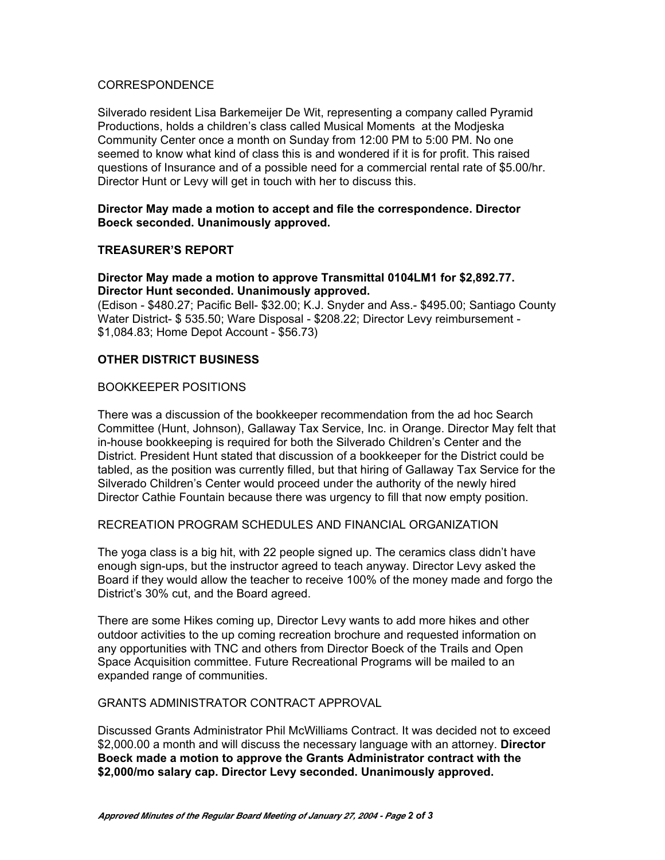#### CORRESPONDENCE

Silverado resident Lisa Barkemeijer De Wit, representing a company called Pyramid Productions, holds a children's class called Musical Moments at the Modjeska Community Center once a month on Sunday from 12:00 PM to 5:00 PM. No one seemed to know what kind of class this is and wondered if it is for profit. This raised questions of Insurance and of a possible need for a commercial rental rate of \$5.00/hr. Director Hunt or Levy will get in touch with her to discuss this.

#### **Director May made a motion to accept and file the correspondence. Director Boeck seconded. Unanimously approved.**

## **TREASURER'S REPORT**

# **Director May made a motion to approve Transmittal 0104LM1 for \$2,892.77. Director Hunt seconded. Unanimously approved.**

(Edison - \$480.27; Pacific Bell- \$32.00; K.J. Snyder and Ass.- \$495.00; Santiago County Water District- \$ 535.50; Ware Disposal - \$208.22; Director Levy reimbursement - \$1,084.83; Home Depot Account - \$56.73)

#### **OTHER DISTRICT BUSINESS**

## BOOKKEEPER POSITIONS

There was a discussion of the bookkeeper recommendation from the ad hoc Search Committee (Hunt, Johnson), Gallaway Tax Service, Inc. in Orange. Director May felt that in-house bookkeeping is required for both the Silverado Children's Center and the District. President Hunt stated that discussion of a bookkeeper for the District could be tabled, as the position was currently filled, but that hiring of Gallaway Tax Service for the Silverado Children's Center would proceed under the authority of the newly hired Director Cathie Fountain because there was urgency to fill that now empty position.

#### RECREATION PROGRAM SCHEDULES AND FINANCIAL ORGANIZATION

The yoga class is a big hit, with 22 people signed up. The ceramics class didn't have enough sign-ups, but the instructor agreed to teach anyway. Director Levy asked the Board if they would allow the teacher to receive 100% of the money made and forgo the District's 30% cut, and the Board agreed.

There are some Hikes coming up, Director Levy wants to add more hikes and other outdoor activities to the up coming recreation brochure and requested information on any opportunities with TNC and others from Director Boeck of the Trails and Open Space Acquisition committee. Future Recreational Programs will be mailed to an expanded range of communities.

#### GRANTS ADMINISTRATOR CONTRACT APPROVAL

Discussed Grants Administrator Phil McWilliams Contract. It was decided not to exceed \$2,000.00 a month and will discuss the necessary language with an attorney. **Director Boeck made a motion to approve the Grants Administrator contract with the \$2,000/mo salary cap. Director Levy seconded. Unanimously approved.**